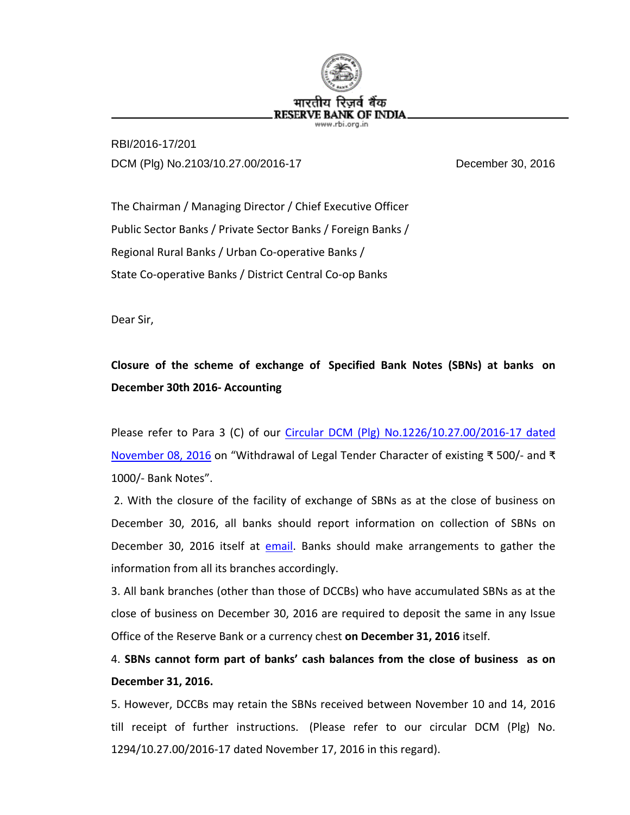

RBI/2016-17/201 DCM (Plg) No.2103/10.27.00/2016-17 December 30, 2016

The Chairman / Managing Director / Chief Executive Officer Public Sector Banks / Private Sector Banks / Foreign Banks / Regional Rural Banks / Urban Co-operative Banks / State Co-operative Banks / District Central Co-op Banks

Dear Sir,

## **Closure of the scheme of exchange of Specified Bank Notes (SBNs) at banks on December 30th 2016- Accounting**

Please refer to Para 3 (C) of our [Circular DCM \(Plg\) No.1226/10.27.00/2016-17 dated](https://rbi.org.in/Scripts/NotificationUser.aspx?Id=10684&Mode=0)  [November 08, 2016](https://rbi.org.in/Scripts/NotificationUser.aspx?Id=10684&Mode=0) on "Withdrawal of Legal Tender Character of existing ₹ 500/- and ₹ 1000/- Bank Notes".

2. With the closure of the facility of exchange of SBNs as at the close of business on December 30, 2016, all banks should report information on collection of SBNs on December 30, 2016 itself at [email.](mailto:bankreport@rbi.org.in) Banks should make arrangements to gather the information from all its branches accordingly.

3. All bank branches (other than those of DCCBs) who have accumulated SBNs as at the close of business on December 30, 2016 are required to deposit the same in any Issue Office of the Reserve Bank or a currency chest **on December 31, 2016** itself.

4. **SBNs cannot form part of banks' cash balances from the close of business as on December 31, 2016.**

5. However, DCCBs may retain the SBNs received between November 10 and 14, 2016 till receipt of further instructions. (Please refer to our circular DCM (Plg) No. 1294/10.27.00/2016-17 dated November 17, 2016 in this regard).